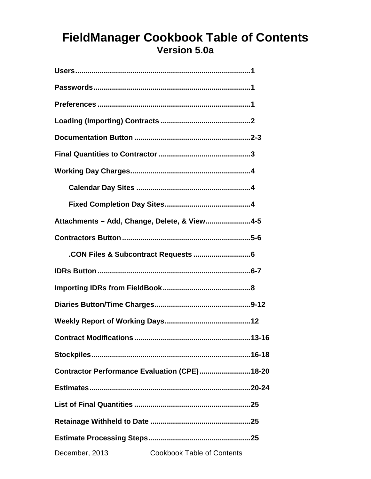# **FieldManager Cookbook Table of Contents Version 5.0a**

| Attachments - Add, Change, Delete, & View 4-5       |  |
|-----------------------------------------------------|--|
|                                                     |  |
|                                                     |  |
|                                                     |  |
|                                                     |  |
|                                                     |  |
|                                                     |  |
| <b>Contract Modifications </b><br>13-16             |  |
|                                                     |  |
| Contractor Performance Evaluation (CPE) 18-20       |  |
|                                                     |  |
|                                                     |  |
|                                                     |  |
|                                                     |  |
| December, 2013<br><b>Cookbook Table of Contents</b> |  |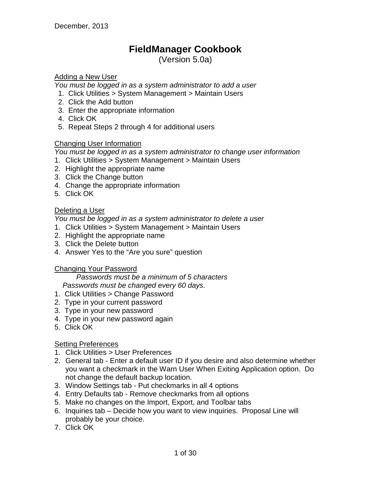## **FieldManager Cookbook**

(Version 5.0a)

## Adding a New User

*You must be logged in as a system administrator to add a user*

- 1. Click Utilities > System Management > Maintain Users
- 2. Click the Add button
- 3. Enter the appropriate information
- 4. Click OK
- 5. Repeat Steps 2 through 4 for additional users

## Changing User Information

*You must be logged in as a system administrator to change user information*

- 1. Click Utilities > System Management > Maintain Users
- 2. Highlight the appropriate name
- 3. Click the Change button
- 4. Change the appropriate information
- 5. Click OK

## Deleting a User

*You must be logged in as a system administrator to delete a user*

- 1. Click Utilities > System Management > Maintain Users
- 2. Highlight the appropriate name
- 3. Click the Delete button
- 4. Answer Yes to the "Are you sure" question

## Changing Your Password

*Passwords must be a minimum of 5 characters Passwords must be changed every 60 days*.

- 1. Click Utilities > Change Password
- 2. Type in your current password
- 3. Type in your new password
- 4. Type in your new password again
- 5. Click OK

## **Setting Preferences**

- 1. Click Utilities > User Preferences
- 2. General tab Enter a default user ID if you desire and also determine whether you want a checkmark in the Warn User When Exiting Application option. Do not change the default backup location.
- 3. Window Settings tab Put checkmarks in all 4 options
- 4. Entry Defaults tab Remove checkmarks from all options
- 5. Make no changes on the Import, Export, and Toolbar tabs
- 6. Inquiries tab Decide how you want to view inquiries. Proposal Line will probably be your choice.
- 7. Click OK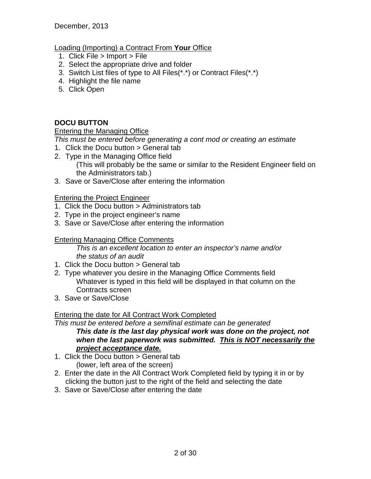## Loading (Importing) a Contract From **Your** Office

- 1. Click File > Import > File
- 2. Select the appropriate drive and folder
- 3. Switch List files of type to All Files(\*.\*) or Contract Files(\*.\*)
- 4. Highlight the file name
- 5. Click Open

## **DOCU BUTTON**

## Entering the Managing Office

*This must be entered before generating a cont mod or creating an estimate*

- 1. Click the Docu button > General tab
- 2. Type in the Managing Office field (This will probably be the same or similar to the Resident Engineer field on the Administrators tab.)
- 3. Save or Save/Close after entering the information

## Entering the Project Engineer

- 1. Click the Docu button > Administrators tab
- 2. Type in the project engineer's name
- 3. Save or Save/Close after entering the information

## Entering Managing Office Comments

*This is an excellent location to enter an inspector's name and/or the status of an audit*

- 1. Click the Docu button > General tab
- 2. Type whatever you desire in the Managing Office Comments field Whatever is typed in this field will be displayed in that column on the Contracts screen
- 3. Save or Save/Close

## Entering the date for All Contract Work Completed

*This must be entered before a semifinal estimate can be generated This date is the last day physical work was done on the project, not when the last paperwork was submitted. This is NOT necessarily the project acceptance date.*

- 1. Click the Docu button > General tab (lower, left area of the screen)
- 2. Enter the date in the All Contract Work Completed field by typing it in or by clicking the button just to the right of the field and selecting the date
- 3. Save or Save/Close after entering the date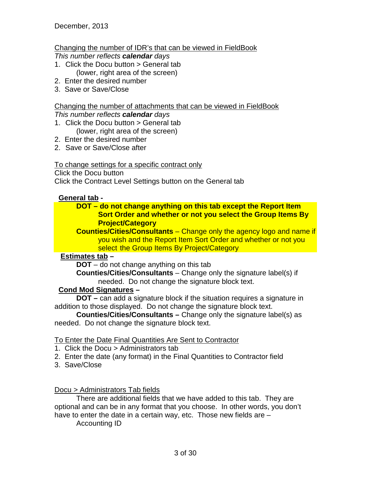## Changing the number of IDR's that can be viewed in FieldBook

*This number reflects calendar days*

- 1. Click the Docu button > General tab (lower, right area of the screen)
- 2. Enter the desired number
- 3. Save or Save/Close

## Changing the number of attachments that can be viewed in FieldBook

## *This number reflects calendar days*

- 1. Click the Docu button > General tab (lower, right area of the screen)
- 2. Enter the desired number
- 2. Save or Save/Close after

## To change settings for a specific contract only

Click the Docu button

Click the Contract Level Settings button on the General tab

## **General tab -**

## **DOT – do not change anything on this tab except the Report Item Sort Order and whether or not you select the Group Items By Project/Category**

**Counties/Cities/Consultants** – Change only the agency logo and name if you wish and the Report Item Sort Order and whether or not you select the Group Items By Project/Category

## **Estimates tab –**

**DOT** – do not change anything on this tab

**Counties/Cities/Consultants** – Change only the signature label(s) if needed. Do not change the signature block text.

## **Cond Mod Signatures –**

**DOT –** can add a signature block if the situation requires a signature in addition to those displayed. Do not change the signature block text.

**Counties/Cities/Consultants –** Change only the signature label(s) as needed. Do not change the signature block text.

## To Enter the Date Final Quantities Are Sent to Contractor

- 1. Click the Docu > Administrators tab
- 2. Enter the date (any format) in the Final Quantities to Contractor field
- 3. Save/Close

Docu > Administrators Tab fields

There are additional fields that we have added to this tab. They are optional and can be in any format that you choose. In other words, you don't have to enter the date in a certain way, etc. Those new fields are -

Accounting ID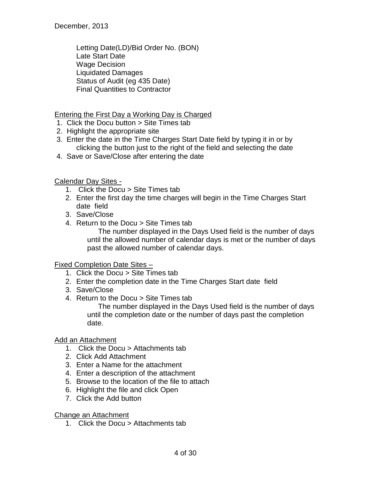Letting Date(LD)/Bid Order No. (BON) Late Start Date Wage Decision Liquidated Damages Status of Audit (eg 435 Date) Final Quantities to Contractor

## Entering the First Day a Working Day is Charged

- 1. Click the Docu button > Site Times tab
- 2. Highlight the appropriate site
- 3. Enter the date in the Time Charges Start Date field by typing it in or by clicking the button just to the right of the field and selecting the date
- 4. Save or Save/Close after entering the date

Calendar Day Sites -

- 1. Click the Docu > Site Times tab
- 2. Enter the first day the time charges will begin in the Time Charges Start date field
- 3. Save/Close
- 4. Return to the Docu > Site Times tab

The number displayed in the Days Used field is the number of days until the allowed number of calendar days is met or the number of days past the allowed number of calendar days.

## Fixed Completion Date Sites –

- 1. Click the Docu > Site Times tab
- 2. Enter the completion date in the Time Charges Start date field
- 3. Save/Close
- 4. Return to the Docu > Site Times tab

The number displayed in the Days Used field is the number of days until the completion date or the number of days past the completion date.

## Add an Attachment

- 1. Click the Docu > Attachments tab
- 2. Click Add Attachment
- 3. Enter a Name for the attachment
- 4. Enter a description of the attachment
- 5. Browse to the location of the file to attach
- 6. Highlight the file and click Open
- 7. Click the Add button

Change an Attachment

1. Click the Docu > Attachments tab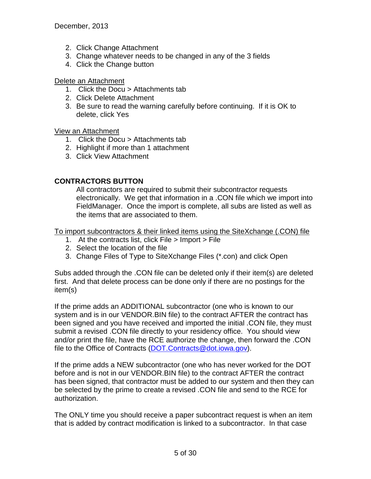- 2. Click Change Attachment
- 3. Change whatever needs to be changed in any of the 3 fields
- 4. Click the Change button

#### Delete an Attachment

- 1. Click the Docu > Attachments tab
- 2. Click Delete Attachment
- 3. Be sure to read the warning carefully before continuing. If it is OK to delete, click Yes

## View an Attachment

- 1. Click the Docu > Attachments tab
- 2. Highlight if more than 1 attachment
- 3. Click View Attachment

## **CONTRACTORS BUTTON**

All contractors are required to submit their subcontractor requests electronically. We get that information in a .CON file which we import into FieldManager. Once the import is complete, all subs are listed as well as the items that are associated to them.

To import subcontractors & their linked items using the SiteXchange (.CON) file

- 1. At the contracts list, click File > Import > File
- 2. Select the location of the file
- 3. Change Files of Type to SiteXchange Files (\*.con) and click Open

Subs added through the .CON file can be deleted only if their item(s) are deleted first. And that delete process can be done only if there are no postings for the item(s)

If the prime adds an ADDITIONAL subcontractor (one who is known to our system and is in our VENDOR.BIN file) to the contract AFTER the contract has been signed and you have received and imported the initial .CON file, they must submit a revised .CON file directly to your residency office. You should view and/or print the file, have the RCE authorize the change, then forward the .CON file to the Office of Contracts [\(DOT.Contracts@dot.iowa.gov\)](mailto:DOT.Contracts@dot.iowa.gov).

If the prime adds a NEW subcontractor (one who has never worked for the DOT before and is not in our VENDOR.BIN file) to the contract AFTER the contract has been signed, that contractor must be added to our system and then they can be selected by the prime to create a revised .CON file and send to the RCE for authorization.

The ONLY time you should receive a paper subcontract request is when an item that is added by contract modification is linked to a subcontractor. In that case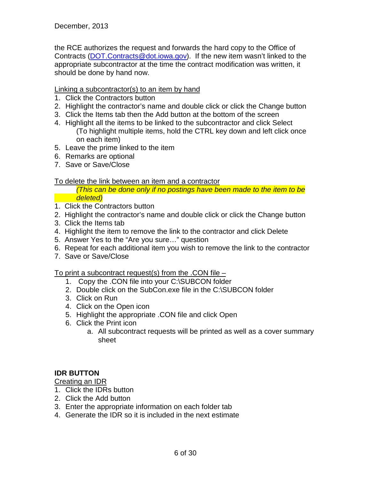the RCE authorizes the request and forwards the hard copy to the Office of Contracts (DOT.Contracts@dot.jowa.gov). If the new item wasn't linked to the appropriate subcontractor at the time the contract modification was written, it should be done by hand now.

Linking a subcontractor(s) to an item by hand

- 1. Click the Contractors button
- 2. Highlight the contractor's name and double click or click the Change button
- 3. Click the Items tab then the Add button at the bottom of the screen
- 4. Highlight all the items to be linked to the subcontractor and click Select (To highlight multiple items, hold the CTRL key down and left click once on each item)
- 5. Leave the prime linked to the item
- 6. Remarks are optional
- 7. Save or Save/Close

#### To delete the link between an item and a contractor

*(This can be done only if no postings have been made to the item to be deleted)*

- 1. Click the Contractors button
- 2. Highlight the contractor's name and double click or click the Change button
- 3. Click the Items tab
- 4. Highlight the item to remove the link to the contractor and click Delete
- 5. Answer Yes to the "Are you sure…" question
- 6. Repeat for each additional item you wish to remove the link to the contractor
- 7. Save or Save/Close

To print a subcontract request(s) from the .CON file –

- 1. Copy the .CON file into your C:\SUBCON folder
- 2. Double click on the SubCon.exe file in the C:\SUBCON folder
- 3. Click on Run
- 4. Click on the Open icon
- 5. Highlight the appropriate .CON file and click Open
- 6. Click the Print icon
	- a. All subcontract requests will be printed as well as a cover summary sheet

## **IDR BUTTON**

Creating an IDR

- 1. Click the IDRs button
- 2. Click the Add button
- 3. Enter the appropriate information on each folder tab
- 4. Generate the IDR so it is included in the next estimate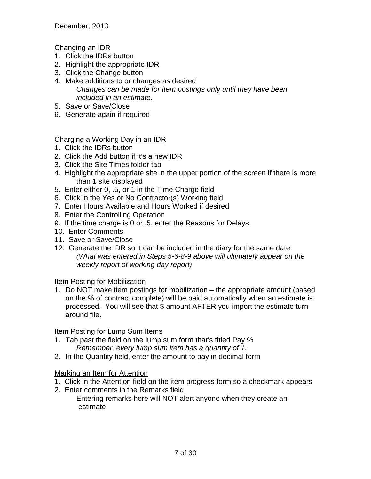Changing an IDR

- 1. Click the IDRs button
- 2. Highlight the appropriate IDR
- 3. Click the Change button
- 4. Make additions to or changes as desired *Changes can be made for item postings only until they have been included in an estimate.*
- 5. Save or Save/Close
- 6. Generate again if required

Charging a Working Day in an IDR

- 1. Click the IDRs button
- 2. Click the Add button if it's a new IDR
- 3. Click the Site Times folder tab
- 4. Highlight the appropriate site in the upper portion of the screen if there is more than 1 site displayed
- 5. Enter either 0, .5, or 1 in the Time Charge field
- 6. Click in the Yes or No Contractor(s) Working field
- 7. Enter Hours Available and Hours Worked if desired
- 8. Enter the Controlling Operation
- 9. If the time charge is 0 or .5, enter the Reasons for Delays
- 10. Enter Comments
- 11. Save or Save/Close
- 12. Generate the IDR so it can be included in the diary for the same date *(What was entered in Steps 5-6-8-9 above will ultimately appear on the weekly report of working day report)*

**Item Posting for Mobilization** 

1. Do NOT make item postings for mobilization – the appropriate amount (based on the % of contract complete) will be paid automatically when an estimate is processed. You will see that \$ amount AFTER you import the estimate turn around file.

Item Posting for Lump Sum Items

- 1. Tab past the field on the lump sum form that's titled Pay % *Remember, every lump sum item has a quantity of 1.*
- 2. In the Quantity field, enter the amount to pay in decimal form

Marking an Item for Attention

- 1. Click in the Attention field on the item progress form so a checkmark appears
- 2. Enter comments in the Remarks field

Entering remarks here will NOT alert anyone when they create an estimate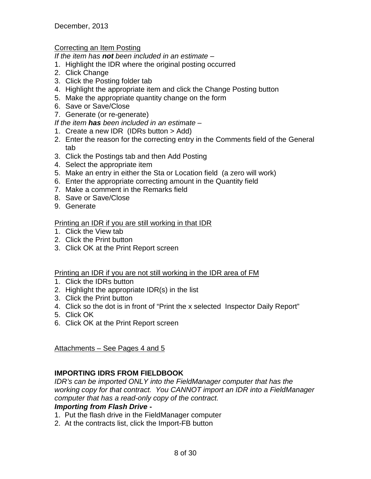December, 2013

## Correcting an Item Posting

*If the item has not been included in an estimate –*

- 1. Highlight the IDR where the original posting occurred
- 2. Click Change
- 3. Click the Posting folder tab
- 4. Highlight the appropriate item and click the Change Posting button
- 5. Make the appropriate quantity change on the form
- 6. Save or Save/Close
- 7. Generate (or re-generate)

*If the item has been included in an estimate –*

- 1. Create a new IDR (IDRs button > Add)
- 2. Enter the reason for the correcting entry in the Comments field of the General tab
- 3. Click the Postings tab and then Add Posting
- 4. Select the appropriate item
- 5. Make an entry in either the Sta or Location field (a zero will work)
- 6. Enter the appropriate correcting amount in the Quantity field
- 7. Make a comment in the Remarks field
- 8. Save or Save/Close
- 9. Generate

## Printing an IDR if you are still working in that IDR

- 1. Click the View tab
- 2. Click the Print button
- 3. Click OK at the Print Report screen

## Printing an IDR if you are not still working in the IDR area of FM

- 1. Click the IDRs button
- 2. Highlight the appropriate IDR(s) in the list
- 3. Click the Print button
- 4. Click so the dot is in front of "Print the x selected Inspector Daily Report"
- 5. Click OK
- 6. Click OK at the Print Report screen

Attachments – See Pages 4 and 5

## **IMPORTING IDRS FROM FIELDBOOK**

*IDR's can be imported ONLY into the FieldManager computer that has the working copy for that contract. You CANNOT import an IDR into a FieldManager computer that has a read-only copy of the contract.*

## *Importing from Flash Drive* **-**

- 1. Put the flash drive in the FieldManager computer
- 2. At the contracts list, click the Import-FB button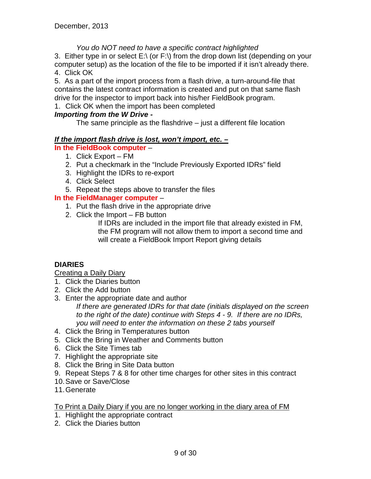## *You do NOT need to have a specific contract highlighted*

3. Either type in or select  $E \setminus (or F \setminus)$  from the drop down list (depending on your computer setup) as the location of the file to be imported if it isn't already there. 4. Click OK

5. As a part of the import process from a flash drive, a turn-around-file that contains the latest contract information is created and put on that same flash drive for the inspector to import back into his/her FieldBook program.

1. Click OK when the import has been completed

## *Importing from the W Drive -*

The same principle as the flashdrive – just a different file location

## *If the import flash drive is lost, won't import, etc. –*

- **In the FieldBook computer**
	- 1. Click Export FM
	- 2. Put a checkmark in the "Include Previously Exported IDRs" field
	- 3. Highlight the IDRs to re-export
	- 4. Click Select
	- 5. Repeat the steps above to transfer the files

## **In the FieldManager computer** –

- 1. Put the flash drive in the appropriate drive
- 2. Click the Import FB button

If IDRs are included in the import file that already existed in FM, the FM program will not allow them to import a second time and will create a FieldBook Import Report giving details

## **DIARIES**

Creating a Daily Diary

- 1. Click the Diaries button
- 2. Click the Add button
- 3. Enter the appropriate date and author

*If there are generated IDRs for that date (initials displayed on the screen to the right of the date) continue with Steps 4 - 9. If there are no IDRs, you will need to enter the information on these 2 tabs yourself* 

- 4. Click the Bring in Temperatures button
- 5. Click the Bring in Weather and Comments button
- 6. Click the Site Times tab
- 7. Highlight the appropriate site
- 8. Click the Bring in Site Data button
- 9. Repeat Steps 7 & 8 for other time charges for other sites in this contract
- 10.Save or Save/Close
- 11.Generate

## To Print a Daily Diary if you are no longer working in the diary area of FM

- 1. Highlight the appropriate contract
- 2. Click the Diaries button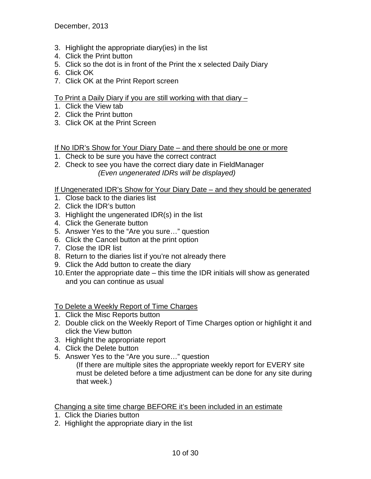December, 2013

- 3. Highlight the appropriate diary(ies) in the list
- 4. Click the Print button
- 5. Click so the dot is in front of the Print the x selected Daily Diary
- 6. Click OK
- 7. Click OK at the Print Report screen

## To Print a Daily Diary if you are still working with that diary –

- 1. Click the View tab
- 2. Click the Print button
- 3. Click OK at the Print Screen

If No IDR's Show for Your Diary Date – and there should be one or more

- 1. Check to be sure you have the correct contract
- 2. Check to see you have the correct diary date in FieldManager *(Even ungenerated IDRs will be displayed)*

If Ungenerated IDR's Show for Your Diary Date – and they should be generated

- 1. Close back to the diaries list
- 2. Click the IDR's button
- 3. Highlight the ungenerated IDR(s) in the list
- 4. Click the Generate button
- 5. Answer Yes to the "Are you sure…" question
- 6. Click the Cancel button at the print option
- 7. Close the IDR list
- 8. Return to the diaries list if you're not already there
- 9. Click the Add button to create the diary
- 10.Enter the appropriate date this time the IDR initials will show as generated and you can continue as usual

## To Delete a Weekly Report of Time Charges

- 1. Click the Misc Reports button
- 2. Double click on the Weekly Report of Time Charges option or highlight it and click the View button
- 3. Highlight the appropriate report
- 4. Click the Delete button
- 5. Answer Yes to the "Are you sure…" question

(If there are multiple sites the appropriate weekly report for EVERY site must be deleted before a time adjustment can be done for any site during that week.)

Changing a site time charge BEFORE it's been included in an estimate

- 1. Click the Diaries button
- 2. Highlight the appropriate diary in the list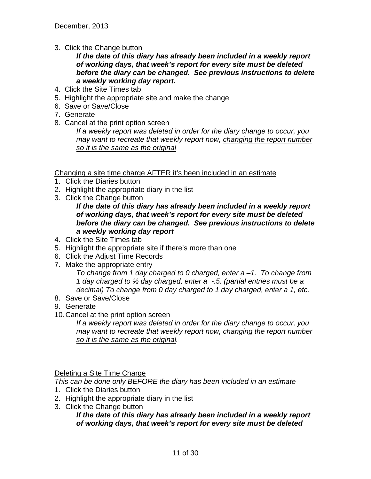3. Click the Change button

## *If the date of this diary has already been included in a weekly report of working days, that week's report for every site must be deleted before the diary can be changed. See previous instructions to delete a weekly working day report.*

- 4. Click the Site Times tab
- 5. Highlight the appropriate site and make the change
- 6. Save or Save/Close
- 7. Generate
- 8. Cancel at the print option screen

*If a weekly report was deleted in order for the diary change to occur, you may want to recreate that weekly report now, changing the report number so it is the same as the original*

Changing a site time charge AFTER it's been included in an estimate

- 1. Click the Diaries button
- 2. Highlight the appropriate diary in the list
- 3. Click the Change button

*If the date of this diary has already been included in a weekly report of working days, that week's report for every site must be deleted before the diary can be changed. See previous instructions to delete a weekly working day report*

- 4. Click the Site Times tab
- 5. Highlight the appropriate site if there's more than one
- 6. Click the Adjust Time Records
- 7. Make the appropriate entry

*To change from 1 day charged to 0 charged, enter a –1. To change from 1 day charged to ½ day charged, enter a -.5. (partial entries must be a decimal) To change from 0 day charged to 1 day charged, enter a 1, etc.*

- 8. Save or Save/Close
- 9. Generate
- 10.Cancel at the print option screen

*If a weekly report was deleted in order for the diary change to occur, you may want to recreate that weekly report now, changing the report number so it is the same as the original.*

Deleting a Site Time Charge

*This can be done only BEFORE the diary has been included in an estimate*

- 1. Click the Diaries button
- 2. Highlight the appropriate diary in the list
- 3. Click the Change button

*If the date of this diary has already been included in a weekly report of working days, that week's report for every site must be deleted*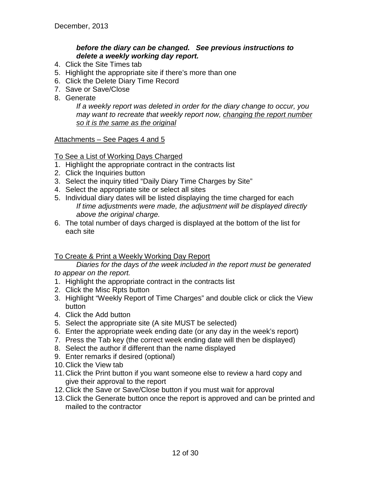## *before the diary can be changed. See previous instructions to delete a weekly working day report.*

- 4. Click the Site Times tab
- 5. Highlight the appropriate site if there's more than one
- 6. Click the Delete Diary Time Record
- 7. Save or Save/Close
- 8. Generate

*If a weekly report was deleted in order for the diary change to occur, you may want to recreate that weekly report now, changing the report number so it is the same as the original*

Attachments – See Pages 4 and 5

## To See a List of Working Days Charged

- 1. Highlight the appropriate contract in the contracts list
- 2. Click the Inquiries button
- 3. Select the inquiry titled "Daily Diary Time Charges by Site"
- 4. Select the appropriate site or select all sites
- 5. Individual diary dates will be listed displaying the time charged for each *If time adjustments were made, the adjustment will be displayed directly above the original charge.*
- 6. The total number of days charged is displayed at the bottom of the list for each site

## To Create & Print a Weekly Working Day Report

*Diaries for the days of the week included in the report must be generated to appear on the report.*

- 1. Highlight the appropriate contract in the contracts list
- 2. Click the Misc Rpts button
- 3. Highlight "Weekly Report of Time Charges" and double click or click the View button
- 4. Click the Add button
- 5. Select the appropriate site (A site MUST be selected)
- 6. Enter the appropriate week ending date (or any day in the week's report)
- 7. Press the Tab key (the correct week ending date will then be displayed)
- 8. Select the author if different than the name displayed
- 9. Enter remarks if desired (optional)
- 10.Click the View tab
- 11.Click the Print button if you want someone else to review a hard copy and give their approval to the report
- 12.Click the Save or Save/Close button if you must wait for approval
- 13.Click the Generate button once the report is approved and can be printed and mailed to the contractor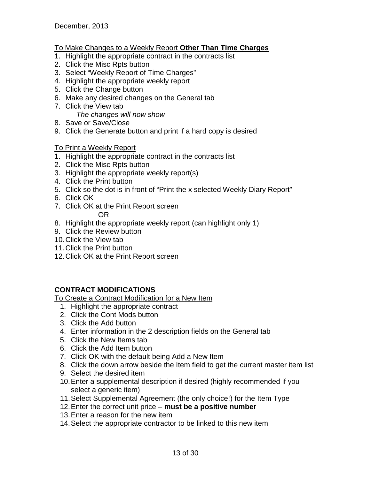## To Make Changes to a Weekly Report **Other Than Time Charges**

- 1. Highlight the appropriate contract in the contracts list
- 2. Click the Misc Rpts button
- 3. Select "Weekly Report of Time Charges"
- 4. Highlight the appropriate weekly report
- 5. Click the Change button
- 6. Make any desired changes on the General tab
- 7. Click the View tab *The changes will now show*
- 8. Save or Save/Close
- 9. Click the Generate button and print if a hard copy is desired

## To Print a Weekly Report

- 1. Highlight the appropriate contract in the contracts list
- 2. Click the Misc Rpts button
- 3. Highlight the appropriate weekly report(s)
- 4. Click the Print button
- 5. Click so the dot is in front of "Print the x selected Weekly Diary Report"
- 6. Click OK
- 7. Click OK at the Print Report screen OR
- 8. Highlight the appropriate weekly report (can highlight only 1)
- 9. Click the Review button
- 10.Click the View tab
- 11.Click the Print button
- 12.Click OK at the Print Report screen

## **CONTRACT MODIFICATIONS**

To Create a Contract Modification for a New Item

- 1. Highlight the appropriate contract
- 2. Click the Cont Mods button
- 3. Click the Add button
- 4. Enter information in the 2 description fields on the General tab
- 5. Click the New Items tab
- 6. Click the Add Item button
- 7. Click OK with the default being Add a New Item
- 8. Click the down arrow beside the Item field to get the current master item list
- 9. Select the desired item
- 10.Enter a supplemental description if desired (highly recommended if you select a generic item)
- 11.Select Supplemental Agreement (the only choice!) for the Item Type
- 12.Enter the correct unit price **must be a positive number**
- 13.Enter a reason for the new item
- 14.Select the appropriate contractor to be linked to this new item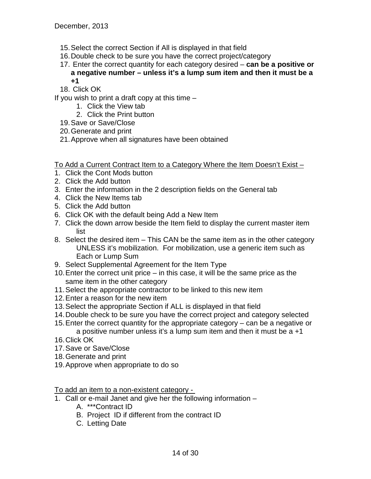- 15.Select the correct Section if All is displayed in that field
- 16.Double check to be sure you have the correct project/category
- 17. Enter the correct quantity for each category desired **can be a positive or a negative number – unless it's a lump sum item and then it must be a +1**

18. Click OK

If you wish to print a draft copy at this time  $-$ 

- 1. Click the View tab
- 2. Click the Print button
- 19.Save or Save/Close
- 20.Generate and print
- 21.Approve when all signatures have been obtained

To Add a Current Contract Item to a Category Where the Item Doesn't Exist –

- 1. Click the Cont Mods button
- 2. Click the Add button
- 3. Enter the information in the 2 description fields on the General tab
- 4. Click the New Items tab
- 5. Click the Add button
- 6. Click OK with the default being Add a New Item
- 7. Click the down arrow beside the Item field to display the current master item list
- 8. Select the desired item This CAN be the same item as in the other category UNLESS it's mobilization. For mobilization, use a generic item such as Each or Lump Sum
- 9. Select Supplemental Agreement for the Item Type
- 10.Enter the correct unit price in this case, it will be the same price as the same item in the other category
- 11.Select the appropriate contractor to be linked to this new item
- 12.Enter a reason for the new item
- 13.Select the appropriate Section if ALL is displayed in that field
- 14.Double check to be sure you have the correct project and category selected
- 15.Enter the correct quantity for the appropriate category can be a negative or a positive number unless it's a lump sum item and then it must be a +1
- 16.Click OK
- 17.Save or Save/Close
- 18.Generate and print
- 19.Approve when appropriate to do so

To add an item to a non-existent category -

- 1. Call or e-mail Janet and give her the following information
	- A. \*\*\*Contract ID
	- B. Project ID if different from the contract ID
	- C. Letting Date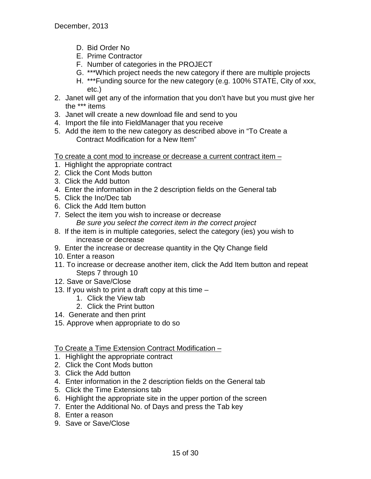- D. Bid Order No
- E. Prime Contractor
- F. Number of categories in the PROJECT
- G. \*\*\*Which project needs the new category if there are multiple projects
- H. \*\*\*Funding source for the new category (e.g. 100% STATE, City of xxx, etc.)
- 2. Janet will get any of the information that you don't have but you must give her the \*\*\* items
- 3. Janet will create a new download file and send to you
- 4. Import the file into FieldManager that you receive
- 5. Add the item to the new category as described above in "To Create a Contract Modification for a New Item"

To create a cont mod to increase or decrease a current contract item –

- 1. Highlight the appropriate contract
- 2. Click the Cont Mods button
- 3. Click the Add button
- 4. Enter the information in the 2 description fields on the General tab
- 5. Click the Inc/Dec tab
- 6. Click the Add Item button
- 7. Select the item you wish to increase or decrease *Be sure you select the correct item in the correct project*
- 8. If the item is in multiple categories, select the category (ies) you wish to increase or decrease
- 9. Enter the increase or decrease quantity in the Qty Change field
- 10. Enter a reason
- 11. To increase or decrease another item, click the Add Item button and repeat Steps 7 through 10
- 12. Save or Save/Close
- 13. If you wish to print a draft copy at this time
	- 1. Click the View tab
	- 2. Click the Print button
- 14. Generate and then print
- 15. Approve when appropriate to do so

## To Create a Time Extension Contract Modification –

- 1. Highlight the appropriate contract
- 2. Click the Cont Mods button
- 3. Click the Add button
- 4. Enter information in the 2 description fields on the General tab
- 5. Click the Time Extensions tab
- 6. Highlight the appropriate site in the upper portion of the screen
- 7. Enter the Additional No. of Days and press the Tab key
- 8. Enter a reason
- 9. Save or Save/Close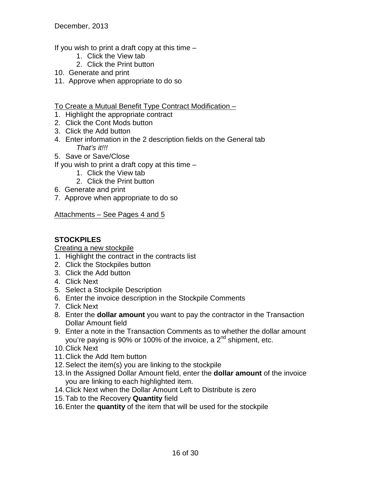If you wish to print a draft copy at this time –

- 1. Click the View tab
- 2. Click the Print button
- 10. Generate and print
- 11. Approve when appropriate to do so
- To Create a Mutual Benefit Type Contract Modification –
- 1. Highlight the appropriate contract
- 2. Click the Cont Mods button
- 3. Click the Add button
- 4. Enter information in the 2 description fields on the General tab *That's it!!!*
- 5. Save or Save/Close
- If you wish to print a draft copy at this time  $-$ 
	- 1. Click the View tab
	- 2. Click the Print button
- 6. Generate and print
- 7. Approve when appropriate to do so

Attachments – See Pages 4 and 5

## **STOCKPILES**

Creating a new stockpile

- 1. Highlight the contract in the contracts list
- 2. Click the Stockpiles button
- 3. Click the Add button
- 4. Click Next
- 5. Select a Stockpile Description
- 6. Enter the invoice description in the Stockpile Comments
- 7. Click Next
- 8. Enter the **dollar amount** you want to pay the contractor in the Transaction Dollar Amount field
- 9. Enter a note in the Transaction Comments as to whether the dollar amount you're paying is 90% or 100% of the invoice, a  $2<sup>nd</sup>$  shipment, etc.
- 10.Click Next
- 11.Click the Add Item button
- 12.Select the item(s) you are linking to the stockpile
- 13.In the Assigned Dollar Amount field, enter the **dollar amount** of the invoice you are linking to each highlighted item.
- 14.Click Next when the Dollar Amount Left to Distribute is zero
- 15.Tab to the Recovery **Quantity** field
- 16.Enter the **quantity** of the item that will be used for the stockpile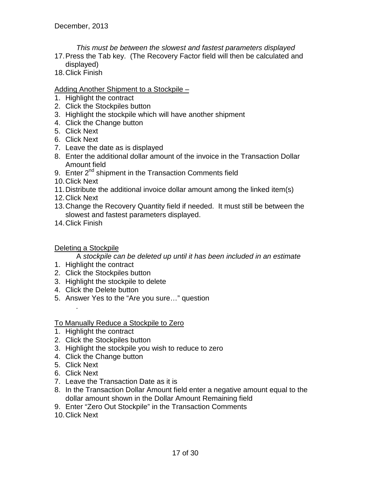*This must be between the slowest and fastest parameters displayed*

- 17.Press the Tab key. (The Recovery Factor field will then be calculated and displayed)
- 18.Click Finish

## Adding Another Shipment to a Stockpile -

- 1. Highlight the contract
- 2. Click the Stockpiles button
- 3. Highlight the stockpile which will have another shipment
- 4. Click the Change button
- 5. Click Next
- 6. Click Next
- 7. Leave the date as is displayed
- 8. Enter the additional dollar amount of the invoice in the Transaction Dollar Amount field
- 9. Enter 2<sup>nd</sup> shipment in the Transaction Comments field
- 10.Click Next
- 11.Distribute the additional invoice dollar amount among the linked item(s)
- 12.Click Next
- 13.Change the Recovery Quantity field if needed. It must still be between the slowest and fastest parameters displayed.
- 14.Click Finish

## Deleting a Stockpile

A *stockpile can be deleted up until it has been included in an estimate*

- 1. Highlight the contract
- 2. Click the Stockpiles button
- 3. Highlight the stockpile to delete
- 4. Click the Delete button
- 5. Answer Yes to the "Are you sure…" question

To Manually Reduce a Stockpile to Zero

- 1. Highlight the contract
- 2. Click the Stockpiles button
- 3. Highlight the stockpile you wish to reduce to zero
- 4. Click the Change button
- 5. Click Next

*.*

- 6. Click Next
- 7. Leave the Transaction Date as it is
- 8. In the Transaction Dollar Amount field enter a negative amount equal to the dollar amount shown in the Dollar Amount Remaining field
- 9. Enter "Zero Out Stockpile" in the Transaction Comments
- 10.Click Next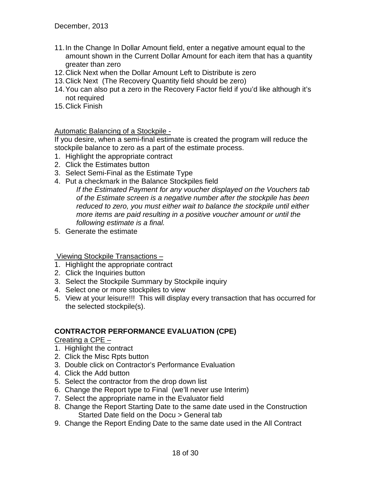- 11.In the Change In Dollar Amount field, enter a negative amount equal to the amount shown in the Current Dollar Amount for each item that has a quantity greater than zero
- 12.Click Next when the Dollar Amount Left to Distribute is zero
- 13.Click Next (The Recovery Quantity field should be zero)
- 14.You can also put a zero in the Recovery Factor field if you'd like although it's not required
- 15.Click Finish

## Automatic Balancing of a Stockpile -

If you desire, when a semi-final estimate is created the program will reduce the stockpile balance to zero as a part of the estimate process.

- 1. Highlight the appropriate contract
- 2. Click the Estimates button
- 3. Select Semi-Final as the Estimate Type
- 4. Put a checkmark in the Balance Stockpiles field

*If the Estimated Payment for any voucher displayed on the Vouchers tab of the Estimate screen is a negative number after the stockpile has been reduced to zero, you must either wait to balance the stockpile until either more items are paid resulting in a positive voucher amount or until the following estimate is a final.*

5. Generate the estimate

Viewing Stockpile Transactions –

- 1. Highlight the appropriate contract
- 2. Click the Inquiries button
- 3. Select the Stockpile Summary by Stockpile inquiry
- 4. Select one or more stockpiles to view
- 5. View at your leisure!!! This will display every transaction that has occurred for the selected stockpile(s).

## **CONTRACTOR PERFORMANCE EVALUATION (CPE)**

Creating a CPE –

- 1. Highlight the contract
- 2. Click the Misc Rpts button
- 3. Double click on Contractor's Performance Evaluation
- 4. Click the Add button
- 5. Select the contractor from the drop down list
- 6. Change the Report type to Final (we'll never use Interim)
- 7. Select the appropriate name in the Evaluator field
- 8. Change the Report Starting Date to the same date used in the Construction Started Date field on the Docu > General tab
- 9. Change the Report Ending Date to the same date used in the All Contract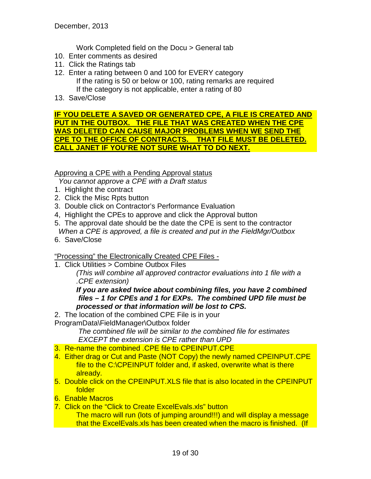Work Completed field on the Docu > General tab

- 10. Enter comments as desired
- 11. Click the Ratings tab
- 12. Enter a rating between 0 and 100 for EVERY category If the rating is 50 or below or 100, rating remarks are required If the category is not applicable, enter a rating of 80
- 13. Save/Close

## **IF YOU DELETE A SAVED OR GENERATED CPE, A FILE IS CREATED AND PUT IN THE OUTBOX. THE FILE THAT WAS CREATED WHEN THE CPE WAS DELETED CAN CAUSE MAJOR PROBLEMS WHEN WE SEND THE CPE TO THE OFFICE OF CONTRACTS. THAT FILE MUST BE DELETED. CALL JANET IF YOU'RE NOT SURE WHAT TO DO NEXT.**

Approving a CPE with a Pending Approval status

*You cannot approve a CPE with a Draft status*

- 1. Highlight the contract
- 2. Click the Misc Rpts button
- 3. Double click on Contractor's Performance Evaluation
- 4, Highlight the CPEs to approve and click the Approval button
- 5. The approval date should be the date the CPE is sent to the contractor  *When a CPE is approved, a file is created and put in the FieldMgr/Outbox*
- 6. Save/Close

## "Processing" the Electronically Created CPE Files -

1. Click Utilities > Combine Outbox Files

*(This will combine all approved contractor evaluations into 1 file with a .CPE extension)*

*If you are asked twice about combining files, you have 2 combined files – 1 for CPEs and 1 for EXPs. The combined UPD file must be processed or that information will be lost to CPS.*

- 2. The location of the combined CPE File is in your
- ProgramData\FieldManager\Outbox folder

*The combined file will be similar to the combined file for estimates EXCEPT the extension is CPE rather than UPD*

- 3. Re-name the combined .CPE file to CPEINPUT.CPE
- 4. Either drag or Cut and Paste (NOT Copy) the newly named CPEINPUT.CPE file to the C:\CPEINPUT folder and, if asked, overwrite what is there already.
- 5. Double click on the CPEINPUT.XLS file that is also located in the CPEINPUT folder
- 6. Enable Macros
- 7. Click on the "Click to Create ExcelEvals.xls" button The macro will run (lots of jumping around!!!) and will display a message that the ExcelEvals.xls has been created when the macro is finished. (If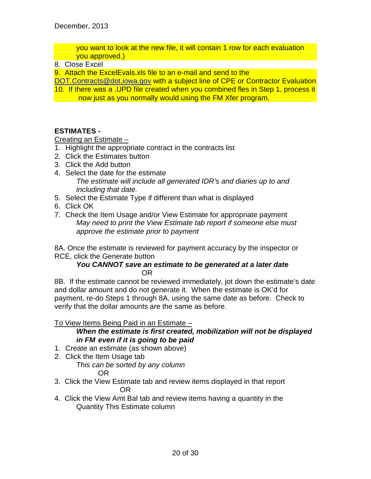you want to look at the new file, it will contain 1 row for each evaluation you approved.)

## 8. Close Excel

9. Attach the ExcelEvals.xls file to an e-mail and send to the

[DOT.Contracts@dot.iowa.gov](mailto:DOT.Contracts@dot.iowa.gov) with a subject line of CPE or Contractor Evaluation

10. If there was a .UPD file created when you combined fles in Step 1, process it now just as you normally would using the FM Xfer program.

## **ESTIMATES -**

Creating an Estimate –

- 1. Highlight the appropriate contract in the contracts list
- 2. Click the Estimates button
- 3. Click the Add button
- 4. Select the date for the estimate *The estimate will include all generated IDR's and diaries up to and including that date.*
- 5. Select the Estimate Type if different than what is displayed
- 6. Click OK
- 7. Check the Item Usage and/or View Estimate for appropriate payment *May need to print the View Estimate tab report if someone else must approve the estimate prior to payment*

8A. Once the estimate is reviewed for payment accuracy by the inspector or RCE, click the Generate button

## *You CANNOT save an estimate to be generated at a later date* OR

8B. If the estimate cannot be reviewed immediately, jot down the estimate's date and dollar amount and do not generate it. When the estimate is OK'd for payment, re-do Steps 1 through 8A, using the same date as before. Check to verify that the dollar amounts are the same as before.

To View Items Being Paid in an Estimate –

## *When the estimate is first created, mobilization will not be displayed in FM even if it is going to be paid*

- 1. Create an estimate (as shown above)
- 2. Click the Item Usage tab

*This can be sorted by any column* OR

- 3. Click the View Estimate tab and review items displayed in that report OR
- 4. Click the View Amt Bal tab and review items having a quantity in the Quantity This Estimate column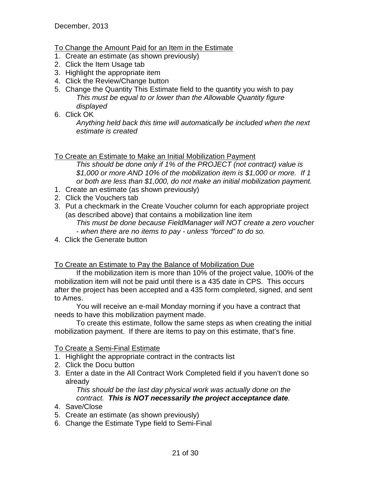## To Change the Amount Paid for an Item in the Estimate

- 1. Create an estimate (as shown previously)
- 2. Click the Item Usage tab
- 3. Highlight the appropriate item
- 4. Click the Review/Change button
- 5. Change the Quantity This Estimate field to the quantity you wish to pay *This must be equal to or lower than the Allowable Quantity figure displayed*
- 6. Click OK

*Anything held back this time will automatically be included when the next estimate is created*

## To Create an Estimate to Make an Initial Mobilization Payment

*This should be done only if 1% of the PROJECT (not contract) value is \$1,000 or more AND 10% of the mobilization item is \$1,000 or more. If 1 or both are less than \$1,000, do not make an initial mobilization payment.*

- 1. Create an estimate (as shown previously)
- 2. Click the Vouchers tab
- 3. Put a checkmark in the Create Voucher column for each appropriate project (as described above) that contains a mobilization line item *This must be done because FieldManager will NOT create a zero voucher - when there are no items to pay - unless "forced" to do so.*
- 4. Click the Generate button

## To Create an Estimate to Pay the Balance of Mobilization Due

If the mobilization item is more than 10% of the project value, 100% of the mobilization item will not be paid until there is a 435 date in CPS. This occurs after the project has been accepted and a 435 form completed, signed, and sent to Ames.

You will receive an e-mail Monday morning if you have a contract that needs to have this mobilization payment made.

To create this estimate, follow the same steps as when creating the initial mobilization payment. If there are items to pay on this estimate, that's fine.

## To Create a Semi-Final Estimate

- 1. Highlight the appropriate contract in the contracts list
- 2. Click the Docu button
- 3. Enter a date in the All Contract Work Completed field if you haven't done so already

*This should be the last day physical work was actually done on the contract. This is NOT necessarily the project acceptance date.*

- 4. Save/Close
- 5. Create an estimate (as shown previously)
- 6. Change the Estimate Type field to Semi-Final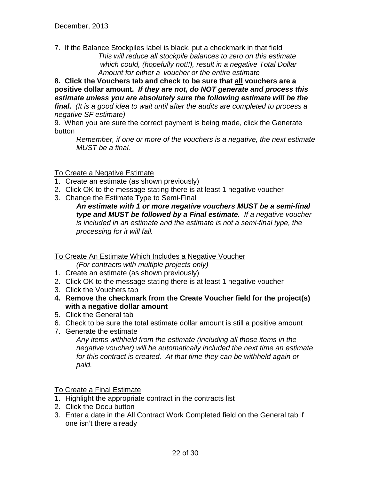7. If the Balance Stockpiles label is black, put a checkmark in that field *This will reduce all stockpile balances to zero on this estimate which could, (hopefully not!!), result in a negative Total Dollar Amount for either a voucher or the entire estimate*

**8. Click the Vouchers tab and check to be sure that all vouchers are a positive dollar amount.** *If they are not, do NOT generate and process this estimate unless you are absolutely sure the following estimate will be the final. (It is a good idea to wait until after the audits are completed to process a negative SF estimate)*

9. When you are sure the correct payment is being made, click the Generate button

*Remember, if one or more of the vouchers is a negative, the next estimate MUST be a final.*

## To Create a Negative Estimate

- 1. Create an estimate (as shown previously)
- 2. Click OK to the message stating there is at least 1 negative voucher
- 3. Change the Estimate Type to Semi-Final

*An estimate with 1 or more negative vouchers MUST be a semi-final type and MUST be followed by a Final estimate. If a negative voucher is included in an estimate and the estimate is not a semi-final type, the processing for it will fail.*

## To Create An Estimate Which Includes a Negative Voucher

*(For contracts with multiple projects only)*

- 1. Create an estimate (as shown previously)
- 2. Click OK to the message stating there is at least 1 negative voucher
- 3. Click the Vouchers tab
- **4. Remove the checkmark from the Create Voucher field for the project(s) with a negative dollar amount**
- 5. Click the General tab
- 6. Check to be sure the total estimate dollar amount is still a positive amount
- 7. Generate the estimate

*Any items withheld from the estimate (including all those items in the negative voucher) will be automatically included the next time an estimate for this contract is created. At that time they can be withheld again or paid.*

## To Create a Final Estimate

- 1. Highlight the appropriate contract in the contracts list
- 2. Click the Docu button
- 3. Enter a date in the All Contract Work Completed field on the General tab if one isn't there already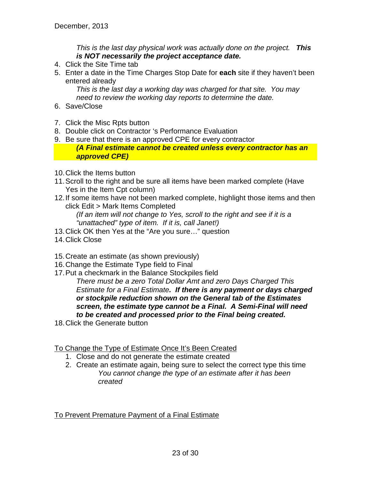*This is the last day physical work was actually done on the project. This is NOT necessarily the project acceptance date.*

- 4. Click the Site Time tab
- 5. Enter a date in the Time Charges Stop Date for **each** site if they haven't been entered already

*This is the last day a working day was charged for that site. You may need to review the working day reports to determine the date.*

- 6. Save/Close
- 7. Click the Misc Rpts button
- 8. Double click on Contractor 's Performance Evaluation
- 9. Be sure that there is an approved CPE for every contractor

*(A Final estimate cannot be created unless every contractor has an approved CPE)*

- 10.Click the Items button
- 11.Scroll to the right and be sure all items have been marked complete (Have Yes in the Item Cpt column)
- 12.If some items have not been marked complete, highlight those items and then click Edit > Mark Items Completed

*(If an item will not change to Yes, scroll to the right and see if it is a "unattached" type of item. If it is, call Janet!)*

- 13.Click OK then Yes at the "Are you sure…" question
- 14.Click Close
- 15.Create an estimate (as shown previously)
- 16.Change the Estimate Type field to Final
- 17.Put a checkmark in the Balance Stockpiles field *There must be a zero Total Dollar Amt and zero Days Charged This Estimate for a Final Estimate. If there is any payment or days charged or stockpile reduction shown on the General tab of the Estimates screen, the estimate type cannot be a Final. A Semi-Final will need to be created and processed prior to the Final being created.*
- 18.Click the Generate button

## To Change the Type of Estimate Once It's Been Created

- 1. Close and do not generate the estimate created
- 2. Create an estimate again, being sure to select the correct type this time *You cannot change the type of an estimate after it has been created*

## To Prevent Premature Payment of a Final Estimate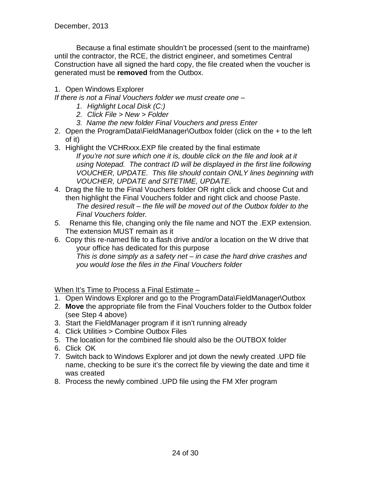Because a final estimate shouldn't be processed (sent to the mainframe) until the contractor, the RCE, the district engineer, and sometimes Central Construction have all signed the hard copy, the file created when the voucher is generated must be **removed** from the Outbox.

## 1. Open Windows Explorer

*If there is not a Final Vouchers folder we must create one –*

- *1. Highlight Local Disk (C:)*
- *2. Click File > New > Folder*
- *3. Name the new folder Final Vouchers and press Enter*
- 2. Open the ProgramData\FieldManager\Outbox folder (click on the + to the left of it)
- 3. Highlight the VCHRxxx.EXP file created by the final estimate
	- *If you're not sure which one it is, double click on the file and look at it using Notepad. The contract ID will be displayed in the first line following VOUCHER, UPDATE. This file should contain ONLY lines beginning with VOUCHER, UPDATE and SITETIME, UPDATE.*
- 4. Drag the file to the Final Vouchers folder OR right click and choose Cut and then highlight the Final Vouchers folder and right click and choose Paste. *The desired result – the file will be moved out of the Outbox folder to the Final Vouchers folder.*
- *5.* Rename this file, changing only the file name and NOT the .EXP extension. The extension MUST remain as it
- 6. Copy this re-named file to a flash drive and/or a location on the W drive that your office has dedicated for this purpose *This is done simply as a safety net – in case the hard drive crashes and you would lose the files in the Final Vouchers folder*

When It's Time to Process a Final Estimate –

- 1. Open Windows Explorer and go to the ProgramData\FieldManager\Outbox
- 2. **Move** the appropriate file from the Final Vouchers folder to the Outbox folder (see Step 4 above)
- 3. Start the FieldManager program if it isn't running already
- 4. Click Utilities > Combine Outbox Files
- 5. The location for the combined file should also be the OUTBOX folder
- 6. Click OK
- 7. Switch back to Windows Explorer and jot down the newly created .UPD file name, checking to be sure it's the correct file by viewing the date and time it was created
- 8. Process the newly combined .UPD file using the FM Xfer program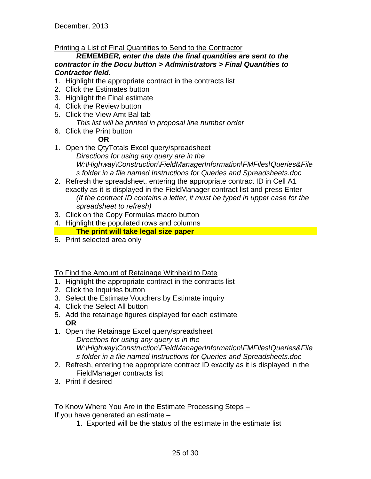December, 2013

## Printing a List of Final Quantities to Send to the Contractor

*REMEMBER, enter the date the final quantities are sent to the contractor in the Docu button > Administrators > Final Quantities to Contractor field.*

- 1. Highlight the appropriate contract in the contracts list
- 2. Click the Estimates button
- 3. Highlight the Final estimate
- 4. Click the Review button
- 5. Click the View Amt Bal tab *This list will be printed in proposal line number order*
- 6. Click the Print button

## **OR**

- 1. Open the QtyTotals Excel query/spreadsheet *Directions for using any query are in the W:\Highway\Construction\FieldManagerInformation\FMFiles\Queries&File s folder in a file named Instructions for Queries and Spreadsheets.doc*
- 2. Refresh the spreadsheet, entering the appropriate contract ID in Cell A1 exactly as it is displayed in the FieldManager contract list and press Enter *(If the contract ID contains a letter, it must be typed in upper case for the spreadsheet to refresh)*
- 3. Click on the Copy Formulas macro button
- 4. Highlight the populated rows and columns

## **The print will take legal size paper**

5. Print selected area only

To Find the Amount of Retainage Withheld to Date

- 1. Highlight the appropriate contract in the contracts list
- 2. Click the Inquiries button
- 3. Select the Estimate Vouchers by Estimate inquiry
- 4. Click the Select All button
- 5. Add the retainage figures displayed for each estimate **OR**
- 1. Open the Retainage Excel query/spreadsheet *Directions for using any query is in the W:\Highway\Construction\FieldManagerInformation\FMFiles\Queries&File s folder in a file named Instructions for Queries and Spreadsheets.doc*
- 2. Refresh, entering the appropriate contract ID exactly as it is displayed in the FieldManager contracts list
- 3. Print if desired

To Know Where You Are in the Estimate Processing Steps –

If you have generated an estimate –

1. Exported will be the status of the estimate in the estimate list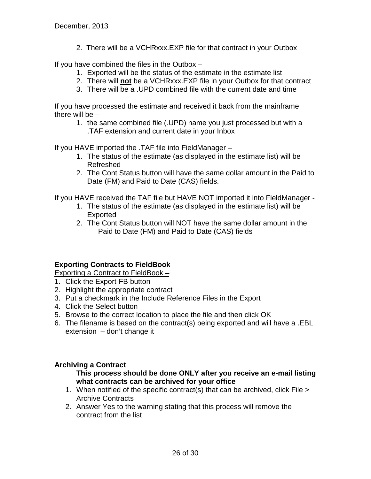2. There will be a VCHRxxx.EXP file for that contract in your Outbox

If you have combined the files in the Outbox –

- 1. Exported will be the status of the estimate in the estimate list
- 2. There will **not** be a VCHRxxx.EXP file in your Outbox for that contract
- 3. There will be a .UPD combined file with the current date and time

If you have processed the estimate and received it back from the mainframe there will be –

1. the same combined file (.UPD) name you just processed but with a .TAF extension and current date in your Inbox

If you HAVE imported the .TAF file into FieldManager –

- 1. The status of the estimate (as displayed in the estimate list) will be Refreshed
- 2. The Cont Status button will have the same dollar amount in the Paid to Date (FM) and Paid to Date (CAS) fields.

If you HAVE received the TAF file but HAVE NOT imported it into FieldManager -

- 1. The status of the estimate (as displayed in the estimate list) will be Exported
- 2. The Cont Status button will NOT have the same dollar amount in the Paid to Date (FM) and Paid to Date (CAS) fields

## **Exporting Contracts to FieldBook**

Exporting a Contract to FieldBook –

- 1. Click the Export-FB button
- 2. Highlight the appropriate contract
- 3. Put a checkmark in the Include Reference Files in the Export
- 4. Click the Select button
- 5. Browse to the correct location to place the file and then click OK
- 6. The filename is based on the contract(s) being exported and will have a .EBL extension – don't change it

## **Archiving a Contract**

## **This process should be done ONLY after you receive an e-mail listing what contracts can be archived for your office**

- 1. When notified of the specific contract(s) that can be archived, click File > Archive Contracts
- 2. Answer Yes to the warning stating that this process will remove the contract from the list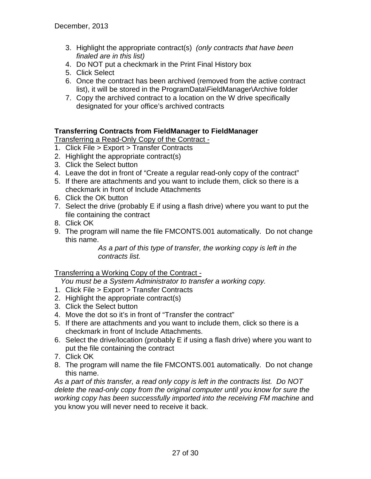- 3. Highlight the appropriate contract(s) *(only contracts that have been finaled are in this list)*
- 4. Do NOT put a checkmark in the Print Final History box
- 5. Click Select
- 6. Once the contract has been archived (removed from the active contract list), it will be stored in the ProgramData\FieldManager\Archive folder
- 7. Copy the archived contract to a location on the W drive specifically designated for your office's archived contracts

## **Transferring Contracts from FieldManager to FieldManager**

Transferring a Read-Only Copy of the Contract -

- 1. Click File > Export > Transfer Contracts
- 2. Highlight the appropriate contract(s)
- 3. Click the Select button
- 4. Leave the dot in front of "Create a regular read-only copy of the contract"
- 5. If there are attachments and you want to include them, click so there is a checkmark in front of Include Attachments
- 6. Click the OK button
- 7. Select the drive (probably E if using a flash drive) where you want to put the file containing the contract
- 8. Click OK
- 9. The program will name the file FMCONTS.001 automatically. Do not change this name.

*As a part of this type of transfer, the working copy is left in the contracts list.* 

## Transferring a Working Copy of the Contract -

 *You must be a System Administrator to transfer a working copy.*

- 1. Click File > Export > Transfer Contracts
- 2. Highlight the appropriate contract(s)
- 3. Click the Select button
- 4. Move the dot so it's in front of "Transfer the contract"
- 5. If there are attachments and you want to include them, click so there is a checkmark in front of Include Attachments.
- 6. Select the drive/location (probably E if using a flash drive) where you want to put the file containing the contract
- 7. Click OK
- 8. The program will name the file FMCONTS.001 automatically. Do not change this name.

*As a part of this transfer, a read only copy is left in the contracts list. Do NOT delete the read-only copy from the original computer until you know for sure the working copy has been successfully imported into the receiving FM machine* and you know you will never need to receive it back.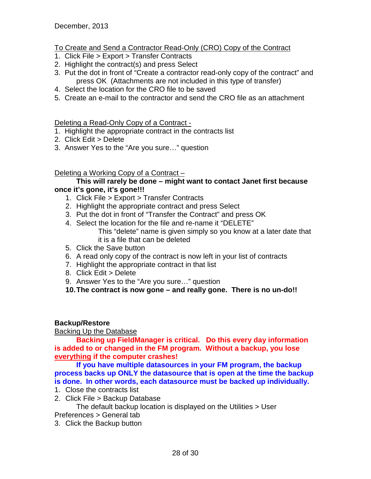## To Create and Send a Contractor Read-Only (CRO) Copy of the Contract

- 1. Click File > Export > Transfer Contracts
- 2. Highlight the contract(s) and press Select
- 3. Put the dot in front of "Create a contractor read-only copy of the contract" and press OK (Attachments are not included in this type of transfer)
- 4. Select the location for the CRO file to be saved
- 5. Create an e-mail to the contractor and send the CRO file as an attachment

## Deleting a Read-Only Copy of a Contract -

- 1. Highlight the appropriate contract in the contracts list
- 2. Click Edit > Delete
- 3. Answer Yes to the "Are you sure…" question

## Deleting a Working Copy of a Contract –

#### **This will rarely be done – might want to contact Janet first because once it's gone, it's gone!!!**

- 1. Click File > Export > Transfer Contracts
- 2. Highlight the appropriate contract and press Select
- 3. Put the dot in front of "Transfer the Contract" and press OK
- 4. Select the location for the file and re-name it "DELETE" This "delete" name is given simply so you know at a later date that it is a file that can be deleted
- 5. Click the Save button
- 6. A read only copy of the contract is now left in your list of contracts
- 7. Highlight the appropriate contract in that list
- 8. Click Edit > Delete
- 9. Answer Yes to the "Are you sure…" question

**10.The contract is now gone – and really gone. There is no un-do!!** 

## **Backup/Restore**

Backing Up the Database

**Backing up FieldManager is critical. Do this every day information is added to or changed in the FM program. Without a backup, you lose everything if the computer crashes!**

**If you have multiple datasources in your FM program, the backup process backs up ONLY the datasource that is open at the time the backup is done. In other words, each datasource must be backed up individually.**

- 1. Close the contracts list
- 2. Click File > Backup Database

The default backup location is displayed on the Utilities > User Preferences > General tab

3. Click the Backup button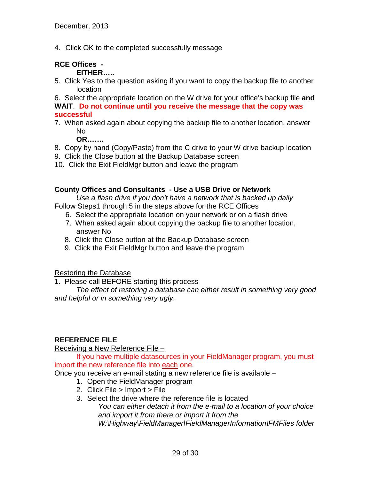4. Click OK to the completed successfully message

## **RCE Offices -**

**EITHER…..**

5. Click Yes to the question asking if you want to copy the backup file to another location

6. Select the appropriate location on the W drive for your office's backup file **and WAIT**. **Do not continue until you receive the message that the copy was successful**

7. When asked again about copying the backup file to another location, answer No

**OR…….**

- 8. Copy by hand (Copy/Paste) from the C drive to your W drive backup location
- 9. Click the Close button at the Backup Database screen
- 10. Click the Exit FieldMgr button and leave the program

## **County Offices and Consultants - Use a USB Drive or Network**

*Use a flash drive if you don't have a network that is backed up daily*

- Follow Steps1 through 5 in the steps above for the RCE Offices
	- 6. Select the appropriate location on your network or on a flash drive
	- 7. When asked again about copying the backup file to another location, answer No
	- 8. Click the Close button at the Backup Database screen
	- 9. Click the Exit FieldMgr button and leave the program

Restoring the Database

1. Please call BEFORE starting this process

*The effect of restoring a database can either result in something very good and helpful or in something very ugly*.

## **REFERENCE FILE**

Receiving a New Reference File –

If you have multiple datasources in your FieldManager program, you must import the new reference file into each one.

Once you receive an e-mail stating a new reference file is available –

- 1. Open the FieldManager program
- 2. Click File > Import > File
- 3. Select the drive where the reference file is located

*You can either detach it from the e-mail to a location of your choice and import it from there or import it from the W:\Highway\FieldManager\FieldManagerInformation\FMFiles folder*